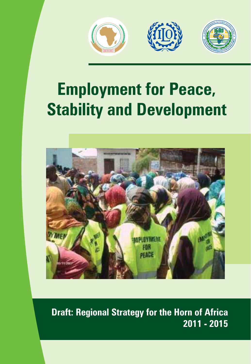

# **Employment for Peace, Stability and Development**



**Draft: Regional Strategy for the Horn of Africa 2011 - 2015**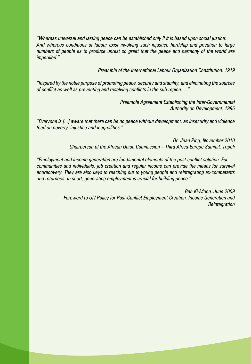*"Whereas universal and lasting peace can be established only if it is based upon social justice; And whereas conditions of labour exist involving such injustice hardship and privation to large numbers of people as to produce unrest so great that the peace and harmony of the world are imperilled."* 

*Preamble of the International Labour Organization Constitution, 1919* 

*"Inspired by the noble purpose of promoting peace, security and stability, and eliminating the sources of conflict as well as preventing and resolving conflicts in the sub-region;…"* 

> *Preamble Agreement Establishing the Inter-Governmental Authority on Development, 1996*

*"Everyone is [...] aware that there can be no peace without development, as insecurity and violence feed on poverty, injustice and inequalities."*

> *Dr. Jean Ping, November 2010 Chairperson of the African Union Commission – Third Africa-Europe Summit, Tripoli*

*"Employment and income generation are fundamental elements of the post-conflict solution. For communities and individuals, job creation and regular income can provide the means for survival andrecovery. They are also keys to reaching out to young people and reintegrating ex-combatants and returnees. In short, generating employment is crucial for building peace."*

> *Ban Ki-Moon, June 2009 Foreword to UN Policy for Post-Conflict Employment Creation, Income Generation and Reintegration*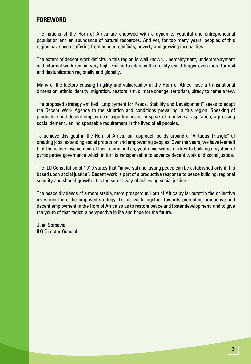#### **FOREWORD**

The nations of the Horn of Africa are endowed with a dynamic, youthful and entrepreneurial population and an abundance of natural resources. And yet, for too many years, peoples of this region have been suffering from hunger, conflicts, poverty and growing inequalities.

The extent of decent work deficits in this region is well known. Unemployment, underemployment and informal work remain very high. Failing to address this reality could trigger even more turmoil and destabilization regionally and globally.

Many of the factors causing fragility and vulnerability in the Horn of Africa have a transnational dimension: ethnic identity, migration, pastoralism, climate change, terrorism, piracy to name a few.

The proposed strategy entitled "Employment for Peace, Stability and Development" seeks to adapt the Decent Work Agenda to the situation and conditions prevailing in this region. Speaking of productive and decent employment opportunities is to speak of a universal aspiration, a pressing social demand, an indispensable requirement in the lives of all peoples.

To achieve this goal in the Horn of Africa, our approach builds around a "Virtuous Triangle" of creating jobs, extending social protection and empowering peoples. Over the years, we have learned that the active involvement of local communities, youth and women is key to building a system of participative governance which in turn is indispensable to advance decent work and social justice.

The ILO Constitution of 1919 states that "universal and lasting peace can be established only if it is based upon social justice". Decent work is part of a productive response to peace building, regional security and shared growth. It is the surest way of achieving social justice.

The peace dividends of a more stable, more prosperous Horn of Africa by far outstrip the collective investment into the proposed strategy. Let us work together towards promoting productive and decent employment in the Horn of Africa so as to restore peace and foster development, and to give the youth of that region a perspective in life and hope for the future.

Juan Somavia ILO Director-General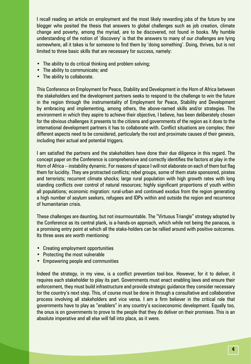I recall reading an article on employment and the most likely rewarding jobs of the future by one blogger who posited the thesis that answers to global challenges such as job creation, climate change and poverty, among the myriad, are to be discovered, not found in books. My humble understanding of the notion of 'discovery' is that the answers to many of our challenges are lying somewhere, all it takes is for someone to find them by 'doing something'. Doing, thrives, but is not limited to three basic skills that are necessary for success, namely:

- The ability to do critical thinking and problem solving;
- The ability to communicate; and
- The ability to collaborate.

This Conference on Employment for Peace, Stability and Development in the Horn of Africa between the stakeholders and the development partners seeks to respond to the challenge to win the future in the region through the instrumentality of Employment for Peace, Stability and Development by embracing and implementing, among others, the above-named skills and/or strategies. The environment in which they aspire to achieve their objective, I believe, has been deliberately chosen for the obvious challenges it presents to the citizens and governments of the region as it does to the international development partners it has to collaborate with. Conflict situations are complex; their different aspects need to be considered, particularly the root and proximate causes of their genesis, including their actual and potential triggers.

I am satisfied the partners and the stakeholders have done their due diligence in this regard. The concept paper on the Conference is comprehensive and correctly identifies the factors at play in the Horn of Africa – instability dynamic. For reasons of space I will not elaborate on each of them but flag them for lucidity. They are protracted conflicts; rebel groups, some of them state sponsored, pirates and terrorists; recurrent climate shocks; large rural population with high growth rates with long standing conflicts over control of natural resources; highly significant proportions of youth within all populations; economic migration: rural-urban and continued exodus from the region generating a high number of asylum seekers, refugees and IDPs within and outside the region and recurrence of humanitarian crisis.

These challenges are daunting, but not insurmountable. The "Virtuous Triangle" strategy adopted by the Conference as its central plank, is a-hands-on approach, which while not being the panacea, is a promising entry point at which all the stake-holders can be rallied around with positive outcomes. Its three axes are worth mentioning:

- Creating employment opportunities
- Protecting the most vulnerable
- Empowering people and communities

Indeed the strategy, in my view, is a conflict prevention tool-box. However, for it to deliver, it requires each stakeholder to play its part. Governments must enact enabling laws and ensure their enforcement, they must build infrastructure and provide strategic guidance they consider necessary for the country's next step. This, of course must be done in through a consultative and collaborative process involving all stakeholders and vice versa. I am a firm believer in the critical role that governments have to play as "enablers" in any country's socioeconomic development. Equally too, the onus is on governments to prove to the people that they do deliver on their promises. This is an absolute imperative and all else will fall into place, as it were.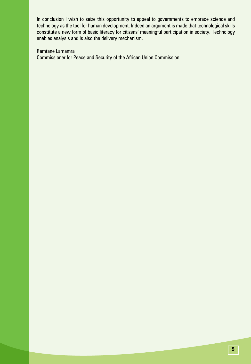In conclusion I wish to seize this opportunity to appeal to governments to embrace science and technology as the tool for human development. Indeed an argument is made that technological skills constitute a new form of basic literacy for citizens' meaningful participation in society. Technology enables analysis and is also the delivery mechanism.

Ramtane Lamamra

Commissioner for Peace and Security of the African Union Commission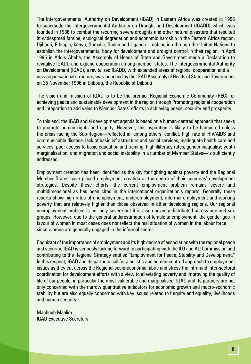The Intergovernmental Authority on Development (IGAD) in Eastern Africa was created in 1996 to supersede the Intergovernmental Authority on Drought and Development (IGADD) which was founded in 1986 to combat the recurring severe droughts and other natural disasters that resulted in widespread famine, ecological degradation and economic hardship in the Eastern Africa region. Djibouti, Ethiopia, Kenya, Somalia, Sudan and Uganda - took action through the United Nations to establish the intergovernmental body for development and drought control in their region. In April 1995 in Addis Ababa, the Assembly of Heads of State and Government made a Declaration to revitalise IGADD and expand cooperation among member states. The Intergovernmental Authority on Development (IGAD), a revitalized IGADD, with expanded areas of regional cooperation and a new organisational structure, was launched by the IGAD Assembly of Heads of State and Government on 25 November 1996 in Djibouti, the Republic of Djibouti

The vision and mission of IGAD is to be the premier Regional Economic Community (REC) for achieving peace and sustainable development in the region through Promoting regional cooperation and integration to add value to Member Sates' efforts in achieving peace, security and prosperity.

To this end, the IGAD social development agenda is based on a human-centred approach that seeks to promote human rights and dignity. However, this aspiration is likely to be hampered unless the crisis facing the Sub-Region—reflected in, among others, conflict, high rate of HIV/AIDS and communicable disease, lack of basic infrastructure and social services, inadequate health care and services; poor access to basic education and training; high illiteracy rates; gender inequality; youth marginalisation; and migration and social instability in a number of Member States—is sufficiently addressed.

Employment creation has been identified as the key for fighting against poverty and the Regional Member States have placed employment creation at the centre of their countries' development strategies. Despite these efforts, the current employment problem remains severe and multidimensional as has been cited in the international organization's reports. Generally these reports show high rates of unemployment, underemployment, informal employment and working poverty that are relatively higher than those observed in other developing regions. Our regional unemployment problem is not only severe but it is also unevenly distributed across age and sex groups. However, due to the general underestimation of female unemployment, the gender gap in favour of women in most cases does not reflect the real situation of women in the labour force since women are generally engaged in the informal sector.

Cognizant of the importance of employment and its high degree of association with the regional peace and security, IGAD is seriously looking forward to participating with the ILO and AU Commission and contributing to the Regional Strategy entitled "Employment for Peace, Stability and Development." In this respect, IGAD and its partners call for a holistic and human-centred approach to employment issues as they cut across the Regional socio-economic fabric and stress the intra-and inter-sectoral coordination for development efforts with a view to alleviating poverty and improving the quality of life of our people, in particular the most vulnerable and marginalised. IGAD and its partners are not only concerned with the narrow quantitative indicators for economic growth and macro-economic stability but are also equally concerned with key issues related to f equity and equality, livelihoods and human security.

Mahboub Maalim IGAD Executive Secretary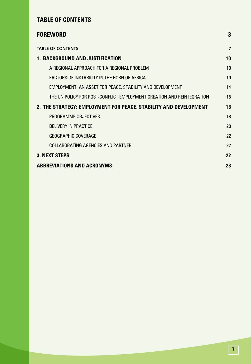# **TABLE OF CONTENTS**

| <b>FOREWORD</b>                                                       | 3              |
|-----------------------------------------------------------------------|----------------|
| <b>TABLE OF CONTENTS</b>                                              | $\overline{7}$ |
| 1. BACKGROUND AND JUSTIFICATION                                       | 10             |
| A REGIONAL APPROACH FOR A REGIONAL PROBLEM                            | 10             |
| FACTORS OF INSTABILITY IN THE HORN OF AFRICA                          | 10             |
| EMPLOYMENT: AN ASSET FOR PEACE, STABILITY AND DEVELOPMENT             | 14             |
| THE UN POLICY FOR POST-CONFLICT EMPLOYMENT CREATION AND REINTEGRATION | 15             |
| 2. THE STRATEGY: EMPLOYMENT FOR PEACE, STABILITY AND DEVELOPMENT      | 18             |
| PROGRAMME OBJECTIVES                                                  | 18             |
| DELIVERY IN PRACTICE                                                  | 20             |
| <b>GEOGRAPHIC COVERAGE</b>                                            | 22             |
| <b>COLLABORATING AGENCIES AND PARTNER</b>                             | 22             |
| <b>3. NEXT STEPS</b>                                                  | 22             |
| <b>ABBREVIATIONS AND ACRONYMS</b>                                     | 23             |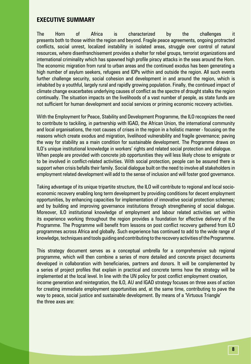#### **EXECUTIVE SUMMARY**

The Horn of Africa is characterized by the challenges it presents both to those within the region and beyond. Fragile peace agreements, ongoing protracted conflicts, social unrest, localized instability in isolated areas, struggle over control of natural resources, where disenfranchisement provides a shelter for rebel groups, terrorist organizations and international criminality which has spawned high profile piracy attacks in the seas around the Horn. The economic migration from rural to urban areas and the continued exodus has been generating a high number of asylum seekers, refugees and IDPs within and outside the region. All such events further challenge security, social cohesion and development in and around the region, which is inhabited by a youthful, largely rural and rapidly growing population. Finally, the continued impact of climate change exacerbates underlying causes of conflict as the spectre of drought stalks the region continually. The situation impacts on the livelihoods of a vast number of people, as state funds are not sufficient for human development and social services or priming economic recovery activities.

With the Employment for Peace, Stability and Development Programme, the ILO recognizes the need to contribute to tackiling, in partnership with IGAD, the African Union, the international community and local organisations, the root causes of crises in the region in a holistic manner - focusing on the reasons which create exodus and migration, livelihood vulnerability and fragile governance; paving the way for stability as a main condition for sustainable development. The Programme draws on ILO's unique institutional knowledge in workers' rights and related social protection and dialogue. When people are provided with concrete job opportunities they will less likely chose to emigrate or to be involved in conflict-related activities. With social protection, people can be assured there is support when crisis befalls their family. Social dialogue built on the need to involve all stakeholders in employment related development will add to the sense of inclusion and will foster good governance.

Taking advantage of its unique tripartite structure, the ILO will contribute to regional and local socioeconomic recovery enabling long term development by providing conditions for decent employment opportunities, by enhancing capacities for implementation of innovative social protection schemes; and by building and improving governance institutions through strengthening of social dialogue. Moreover, ILO institutional knowledge of employment and labour related activities set within its experience working throughout the region provides a foundation for effective delivery of the Programme. The Programme will benefit from lessons on post conflict recovery gathered from ILO programmes across Africa and globally. Such experience has continued to add to the wide range of knowledge, techniques and tools guiding and contributing to the recovery activities of the Programme.

This strategy document serves as a conceptual umbrella for a comprehensive sub regional programme, which will then combine a series of more detailed and concrete project documents developed in collaboration with beneficiaries, partners and donors. It will be complemented by a series of project profiles that explain in practical and concrete terms how the strategy will be implemented at the local level. In line with the UN policy for post conflict employment creation, income generation and reintegration, the ILO, AU and IGAD strategy focuses on three axes of action for creating immediate employment opportunities and, at the same time, contributing to pave the way to peace, social justice and sustainable development. By means of a 'Virtuous Triangle' the three axes are: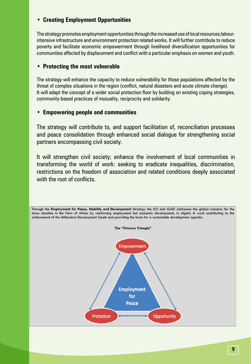## **• Creating Employment Opportunities**

The strategy promotes employment opportunities through the increased use of local resources;labourintensive infrastructure and environment protection related works. It will further contribute to reduce poverty and facilitate economic empowerment through livelihood diversification opportunities for communities affected by displacement and conflict with a particular emphasis on women and youth.

#### **• Protecting the most vulnerable**

The strategy will enhance the capacity to reduce vulnerability for those populations affected by the threat of complex situations in the region (conflict, natural disasters and acute climate change). It will adapt the concept of a wider social protection floor by building on existing coping strategies, community-based practices of mutuality, reciprocity and solidarity.

#### **• Empowering people and communities**

The strategy will contribute to, and support facilitation of, reconciliation processes and peace consolidation through enhanced social dialogue for strengthening social partners encompassing civil society.

It will strengthen civil society; enhance the involvement of local communities in transforming the world of work: seeking to eradicate inequalities, discrimination, restrictions on the freedom of association and related conditions deeply associated with the root of conflicts.

Through the Employment for Peace, Stability and Development Strategy the ILO and IGAD addresses the global concerns for the tense situation in the Horn of Africa by reinforcing employment led economic development, to dignity in work contributing to the achievement of the Millennium Development Goals and providing the basis for a sustainable development agenda.

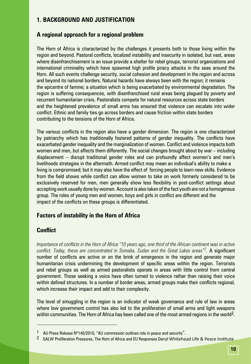## **1. BACKGROUND AND JUSTIFICATION**

#### **A regional approach for a regional problem**

The Horn of Africa is characterized by the challenges it presents both to those living within the region and beyond. Pastoral conflicts, localized instability and insecurity in isolated, but vast, areas where disenfranchisement is an issue provide a shelter for rebel groups, terrorist organizations and international criminality which have spawned high profile piracy attacks in the seas around the Horn. All such events challenge security, social cohesion and development in the region and across and beyond its national borders. Natural hazards have always been with the region; it remains the epicentre of famine; a situation which is being exacerbated by environmental degradation. The region is suffering consequences, with disenfranchised rural areas being plagued by poverty and recurrent humanitarian crisis. Pastoralists compete for natural resources across state borders and the heightened prevalence of small arms has ensured that violence can escalate into wider conflict. Ethnic and family ties go across borders and cause friction within state borders contributing to the tensions of the Horn of Africa.

The various conflicts in the region also have a gender dimension. The region is one characterized by patriarchy which has traditionally fostered patterns of gender inequality. The conflicts have exacerbated gender inequality and the marginalization of women. Conflict and violence impacts both women and men, but affects them differently. The social changes brought about by war – including displacement – disrupt traditional gender roles and can profoundly affect women's and men's livelihoods strategies in the aftermath. Armed conflict may mean an individual's ability to make a living is compromised; but it may also have the effect of forcing people to learn new skills. Evidence from the field shows while conflict can allow women to take on work formerly considered to be exclusively reserved for men, men generally show less flexibility in post-conflict settings about accepting work usually done by women. Account is also taken of the fact youth are not a homogenous group. The roles of young men and women, boys and girls in conflict are different and the impact of the conflicts on these groups is differentiated.

#### **Factors of instability in the Horn of Africa**

#### **Conflict**

*Importance of conflicts in the Horn of Africa "10 years ago, one third of the African continent was in active conflict. Today, these are concentrated in Somalia, Sudan and the Great Lakes areas"1.* A significant number of conflicts are active or on the brink of emergence in the region and generate major humanitarian crisis undermining the development of specific areas within the region. Terrorists and rebel groups as well as armed pastoralists operate in areas with little control from central government. Those seeking a voice have often turned to violence rather than raising their voice within defined structures. In a number of border areas, armed groups make their conflicts regional, which increase their impact and add to their complexity.

The level of smuggling in the region is an indicator of weak governance and rule of law in areas where low government control has also led to the proliferation of small arms and light weapons within communities. The Horn of Africa has been called one of the most armed regions in the world<sup>2</sup>.

AU Press Release Nº140/2010, "AU commission outlines role in peace and security".

<sup>2</sup> SALW Proliferation Pressures, The Horn of Africa and EU Responses Darryl Whitehead Life & Peace Institute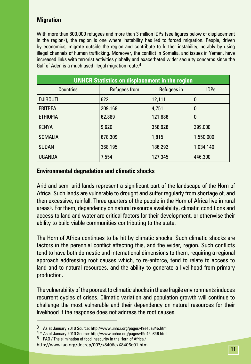## **Migration**

With more than 800,000 refugees and more than 3 million IDPs (see figures below of displacement in the region<sup>3</sup>), the region is one where instability has led to forced migration. People, driven by economics, migrate outside the region and contribute to further instability, notably by using illegal channels of human trafficking. Moreover, the conflict in Somalia, and issues in Yemen, have increased links with terrorist activities globally and exacerbated wider security concerns since the Gulf of Aden is a much used illegal migration route.<sup>4</sup>

| <b>UNHCR Statistics on displacement in the region</b> |               |             |             |  |  |
|-------------------------------------------------------|---------------|-------------|-------------|--|--|
| <b>Countries</b>                                      | Refugees from | Refugees in | <b>IDPs</b> |  |  |
| <b>DJIBOUTI</b>                                       | 622           | 12,111      | 0           |  |  |
| <b>ERITREA</b>                                        | 209,168       | 4,751       | 0           |  |  |
| <b>ETHIOPIA</b>                                       | 62,889        | 121,886     | 0           |  |  |
| <b>KENYA</b>                                          | 9,620         | 358,928     | 399,000     |  |  |
| <b>SOMALIA</b>                                        | 678,309       | 1,815       | 1,550,000   |  |  |
| <b>SUDAN</b>                                          | 368,195       | 186,292     | 1,034,140   |  |  |
| <b>UGANDA</b>                                         | 7,554         | 127,345     | 446,300     |  |  |

## **Environmental degradation and climatic shocks**

Arid and semi arid lands represent a significant part of the landscape of the Horn of Africa. Such lands are vulnerable to drought and suffer regularly from shortage of, and then excessive, rainfall. Three quarters of the people in the Horn of Africa live in rural areas<sup>5</sup>. For them, dependency on natural resource availability, climatic conditions and access to land and water are critical factors for their development, or otherwise their ability to build viable communities contributing to the state.

The Horn of Africa continues to be hit by climatic shocks. Such climatic shocks are factors in the perennial conflict affecting this, and the wider, region. Such conflicts tend to have both domestic and international dimensions to them, requiring a regional approach addressing root causes which, to re-enforce, tend to relate to access to land and to natural resources, and the ability to generate a livelihood from primary production.

The vulnerability of the poorest to climatic shocks in these fragile environments induces recurrent cycles of crises. Climatic variation and population growth will continue to challenge the most vulnerable and their dependency on natural resources for their livelihood if the response does not address the root causes.

<sup>3</sup> As at January 2010 Source: http://www.unhcr.org/pages/49e45a846.html<br><sup>4</sup> \* As of January 2010 Source: http://www.unhcr.org/pages/49e45a846.html

 $5$  FAO / The elimination of food insecurity in the Horn of Africa /

http://www.fao.org/docrep/003/x8406e/X8406e01.htm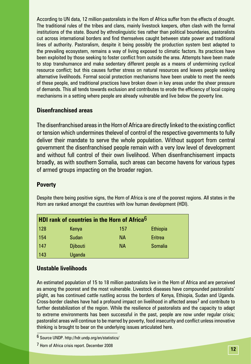According to UN data, 12 million pastoralists in the Horn of Africa suffer from the effects of drought. The traditional rules of the tribes and clans, mainly livestock keepers, often clash with the formal institutions of the state. Bound by ethnolinguistic ties rather than political boundaries, pastoralists cut across international borders and find themselves caught between state power and traditional lines of authority. Pastoralism, despite it being possibly the production system best adapted to the prevailing ecosystem, remains a way of living exposed to climatic factors. Its practices have been exploited by those seeking to foster conflict from outside the area. Attempts have been made to stop transhumance and make sedentary different people as a means of undermining cyclical resource conflict; but this causes further stress on natural resources and leaves people seeking alternative livelihoods. Formal social protection mechanisms have been unable to meet the needs of these people, and traditional practices have broken down in key areas under the sheer pressure of demands. This all tends towards exclusion and contributes to erode the efficiency of local coping mechanisms in a setting where people are already vulnerable and live below the poverty line.

#### **Disenfranchised areas**

The disenfranchised areas in the Horn of Africa are directly linked to the existing conflict or tension which undermines thelevel of control of the respective governments to fully deliver their mandate to serve the whole population. Without support from central government the disenfranchised people remain with a very low level of development and without full control of their own livelihood. When disenfranchisement impacts broadly, as with southern Somalia, such areas can become havens for various types of armed groups impacting on the broader region.

#### **Poverty**

Despite there being positive signs, the Horn of Africa is one of the poorest regions. All states in the Horn are ranked amongst the countries with low human development (HDI).

|     | <b>HDI rank of countries in the Horn of Africa</b> <sup>6</sup> |           |                 |
|-----|-----------------------------------------------------------------|-----------|-----------------|
| 128 | Kenya                                                           | 157       | <b>Ethiopia</b> |
| 154 | <b>Sudan</b>                                                    | <b>NA</b> | Eritrea         |
| 147 | <b>Djibouti</b>                                                 | <b>NA</b> | <b>Somalia</b>  |
| 143 | <b>Uganda</b>                                                   |           |                 |

#### **Unstable livelihoods**

An estimated population of 15 to 18 million pastoralists live in the Horn of Africa and are perceived as among the poorest and the most vulnerable. Livestock diseases have compounded pastoralists' plight, as has continued cattle rustling across the borders of Kenya, Ethiopia, Sudan and Uganda. Cross-border clashes have had a profound impact on livelihood in affected areas7 and contribute to further destabilization of the region. While the resilience of pastoralists and the capacity to adapt to extreme environments has been successful in the past, people are now under regular crisis; pastoralist areas will continue to be marred by poverty, food insecurity and conflict unless innovative thinking is brought to bear on the underlying issues articulated here.

<sup>6</sup> Source UNDP. http://hdr.undp.org/en/statistics/

<sup>7</sup> Horn of Africa crisis report. December 2008 **<sup>12</sup>**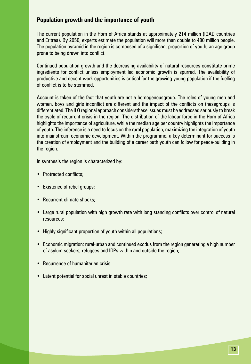#### **Population growth and the importance of youth**

The current population in the Horn of Africa stands at approximately 214 million (IGAD countries and Eritrea). By 2050, experts estimate the population will more than double to 480 million people. The population pyramid in the region is composed of a significant proportion of youth; an age group prone to being drawn into conflict.

Continued population growth and the decreasing availability of natural resources constitute prime ingredients for conflict unless employment led economic growth is spurred. The availability of productive and decent work opportunities is critical for the growing young population if the fuelling of conflict is to be stemmed.

Account is taken of the fact that youth are not a homogenousgroup. The roles of young men and women, boys and girls inconflict are different and the impact of the conflicts on thesegroups is differentiated. The ILO regional approach considersthese issues must be addressed seriously to break the cycle of recurrent crisis in the region. The distribution of the labour force in the Horn of Africa highlights the importance of agriculture, while the median age per country highlights the importance of youth. The inference is a need to focus on the rural population, maximizing the integration of youth into mainstream economic development. Within the programme, a key determinant for success is the creation of employment and the building of a career path youth can follow for peace-building in the region.

In synthesis the region is characterized by:

- Protracted conflicts;
- Existence of rebel groups;
- Recurrent climate shocks:
- Large rural population with high growth rate with long standing conflicts over control of natural resources;
- Highly significant proportion of youth within all populations;
- Economic migration: rural-urban and continued exodus from the region generating a high number of asylum seekers, refugees and IDPs within and outside the region;
- Recurrence of humanitarian crisis
- Latent potential for social unrest in stable countries;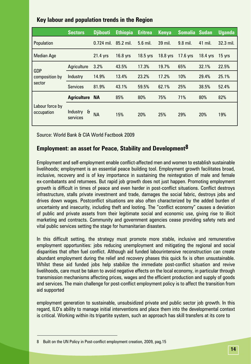|                                        | <b>Sectors</b>                       | <b>D</b> iibouti | <b>Ethiopia</b> | <b>Eritrea</b> | <b>Kenya</b> | Somalia Sudan |          | <b>Uganda</b> |
|----------------------------------------|--------------------------------------|------------------|-----------------|----------------|--------------|---------------|----------|---------------|
| Population                             |                                      | $0.724$ mil.     | 85.2 mil.       | 5.6 mil.       | 39 mil.      | 9.8 mil.      | 41 mil.  | 32.3 mil.     |
| <b>Median Age</b>                      |                                      | 21.4 yrs         | 16.8 yrs        | 18.5 yrs       | 18.8 yrs     | $17.6$ yrs    | 18.4 yrs | 15 yrs        |
|                                        | Agriculture                          | 3.2%             | 43.5%           | 17.3%          | 19.7%        | 65%           | 32.1%    | 22.5%         |
| <b>GDP</b><br>composition by<br>sector | Industry                             | 14.9%            | 13.4%           | 23.2%          | 17.2%        | 10%           | 29.4%    | 25.1%         |
|                                        | <b>Services</b>                      | 81.9%            | 43.1%           | 59.5%          | 62.1%        | 25%           | 38.5%    | 52.4%         |
|                                        | <b>Agriculture NA</b>                |                  | 85%             | 80%            | 75%          | 71%           | 80%      | 82%           |
| Labour force by<br>occupation          | $\mathbf{H}$<br>Industry<br>services | NА               | 15%             | 20%            | 25%          | 29%           | 20%      | 19%           |

#### **Key labour and population trends in the Region**

Source: World Bank & CIA World Factbook 2009

#### **Employment: an asset for Peace, Stability and Development8**

Employment and self-employment enable conflict-affected men and women to establish sustainable livelihoods; employment is an essential peace building tool. Employment growth facilitates broad, inclusive, recovery and is of key importance in sustaining the reintegration of male and female ex-combatants and returnees. But rapid job growth does not just happen. Promoting employment growth is difficult in times of peace and even harder in post-conflict situations. Conflict destroys infrastructure, stalls private investment and trade, damages the social fabric, destroys jobs and drives down wages. Postconflict situations are also often characterized by the added burden of uncertainty and insecurity, including theft and looting. The "conflict economy" causes a deviation of public and private assets from their legitimate social and economic use, giving rise to illicit marketing and contracts. Community and government agencies cease providing safety nets and vital public services setting the stage for humanitarian disasters.

In this difficult setting, the strategy must promote more stable, inclusive and remunerative employment opportunities: jobs reducing unemployment and mitigating the regional and social disparities that often fuel conflict. Although aid funded labourintensive reconstruction can create abundant employment during the relief and recovery phases this quick fix is often unsustainable. Whilst these aid funded jobs help stabilize the immediate post-conflict situation and revive livelihoods, care must be taken to avoid negative effects on the local economy, in particular through transmission mechanisms affecting prices, wages and the efficient production and supply of goods and services. The main challenge for post-conflict employment policy is to affect the transition from aid supported

employment generation to sustainable, unsubsidized private and public sector job growth. In this regard, ILO's ability to manage initial interventions and place them into the developmental context is critical. Working within its tripartite system, such an approach has skill transfers at its core to

<sup>8</sup> Built on the UN Policy in Post-conflict employment creation, 2009, pag.15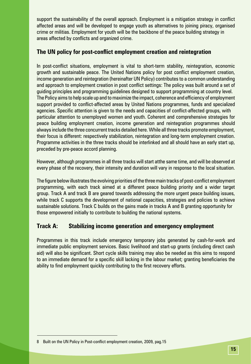support the sustainability of the overall approach. Employment is a mitigation strategy in conflict affected areas and will be developed to engage youth as alternatives to joining piracy, organised crime or militias. Employment for youth will be the backbone of the peace building strategy in areas affected by conflicts and organized crime.

#### **The UN policy for post-conflict employment creation and reintegration**

In post-conflict situations, employment is vital to short-term stability, reintegration, economic growth and sustainable peace. The United Nations policy for post conflict employment creation, income generation and reintegration (hereinafter UN Policy) contributes to a common understanding and approach to employment creation in post conflict settings: The policy was built around a set of guiding principles and programming guidelines designed to support programming at country level. The Policy aims to help scale up and to maximize the impact, coherence and efficiency of employment support provided to conflict-affected areas by United Nations programmes, funds and specialized agencies. Specific attention is given to the needs and capacities of conflict-affected groups, with particular attention to unemployed women and youth. Coherent and comprehensive strategies for peace building employment creation, income generation and reintegration programmes should always include the three concurrent tracks detailed here. While all three tracks promote employment, their focus is different: respectively stabilization, reintegration and long-term employment creation. Programme activities in the three tracks should be interlinked and all should have an early start up, preceded by pre-peace accord planning.

However, although programmes in all three tracks will start atthe same time, and will be observed at every phase of the recovery, their intensity and duration will vary in response to the local situation.

The figure below illustrates the evolving priorities of the three main tracks of post-conflict employment programming, with each track aimed at a different peace building priority and a wider target group. Track A and track B are geared towards addressing the more urgent peace building issues, while track C supports the development of national capacities, strategies and policies to achieve sustainable solutions. Track C builds on the gains made in tracks A and B granting opportunity for those empowered initially to contribute to building the national systems.

#### **Track A: Stabilizing income generation and emergency employment**

Programmes in this track include emergency temporary jobs generated by cash-for-work and immediate public employment services. Basic livelihood and start-up grants (including direct cash aid) will also be significant. Short cycle skills training may also be needed as this aims to respond to an immediate demand for a specific skill lacking in the labour market; granting beneficiaries the ability to find employment quickly contributing to the first recovery efforts.

<sup>8</sup> Built on the UN Policy in Post-conflict employment creation, 2009, pag.15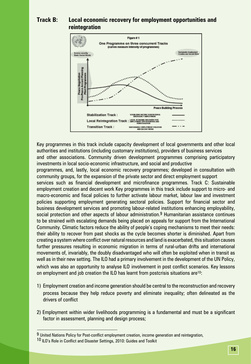### **Track B: Local economic recovery for employment opportunities and reintegration**



Key programmes in this track include capacity development of local governments and other local authorities and institutions (including customary institutions), providers of business services and other associations. Community driven development programmes comprising participatory investments in local socio-economic infrastructure, and social and productive

programmes, and, lastly, local economic recovery programmes; developed in consultation with community groups, for the expansion of the private sector and direct employment support

services such as financial development and microfinance programmes. Track C: Sustainable employment creation and decent work Key programmes in this track include support to micro- and macro-economic and fiscal policies to further activate labour market, labour law and investment policies supporting employment generating sectoral policies. Support for financial sector and business development services and promoting labour-related institutions enhancing employability, social protection and other aspects of labour administration.<sup>9</sup> Humanitarian assistance continues to be strained with escalating demands being placed on appeals for support from the International Community. Climatic factors reduce the ability of people's coping mechanisms to meet their needs: their ability to recover from past shocks as the cycle becomes shorter is diminished. Apart from creating a system where conflict over natural resources and land is exacerbated, this situation causes further pressures resulting in economic migration in terms of rural-urban drifts and international movements of, invariably, the doubly disadvantaged who will often be exploited when in transit as well as in their new setting. The ILO had a primary involvement in the development of the UN Policy, which was also an opportunity to analyse ILO involvement in post conflict scenarios. Key lessons on employment and job creation the ILO has learnt from postcrisis situations are<sup>10</sup>:

- 1) Employment creation and income generation should be central to the reconstruction and recovery process because they help reduce poverty and eliminate inequality; often delineated as the drivers of conflict
- 2) Employment within wider livelihoods programming is a fundamental and must be a significant factor in assessment, planning and design process;

<sup>9</sup> United Nations Policy for Post-conflict employment creation, income generation and reintegration, 10 ILO's Role in Conflict and Disaster Settings, 2010: Guides and Toolkit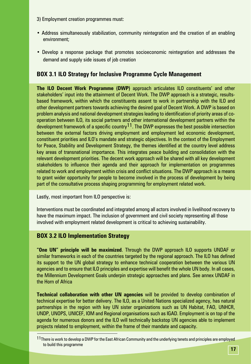- 3) Employment creation programmes must:
- Address simultaneously stabilization, community reintegration and the creation of an enabling environment;
- Develop a response package that promotes socioeconomic reintegration and addresses the demand and supply side issues of job creation

#### **BOX 3.1 ILO Strategy for Inclusive Programme Cycle Management**

**The ILO Decent Work Programme (DWP)** approach articulates ILO constituents' and other stakeholders' input into the attainment of Decent Work. The DWP approach is a strategic, resultsbased framework, within which the constituents assent to work in partnership with the ILO and other development partners towards achieving the desired goal of Decent Work. A DWP is based on problem analysis and national development strategies leading to identification of priority areas of cooperation between ILO, its social partners and other international development partners within the development framework of a specific country  $11$ . The DWP expresses the best possible intersection between the external factors driving employment and employment led economic development, constituent priorities and ILO's mandate and strategic objectives. In the context of the Employment for Peace, Stability and Development Strategy, the themes identified at the country level address key areas of transnational importance. This integrates peace building and consolidation with the relevant development priorities. The decent work approach will be shared with all key development stakeholders to influence their agenda and their approach for implementation on programmes related to work and employment within crisis and conflict situations. The DWP approach is a means to grant wider opportunity for people to become involved in the process of development by being part of the consultative process shaping programming for employment related work.

Lastly, most important from ILO perspective is:

Interventions must be coordinated and integrated among all actors involved in livelihood recovery to have the maximum impact. The inclusion of government and civil society representing all those involved with employment related development is critical to achieving sustainability.

#### **BOX 3.2 ILO Implementation Strategy**

**"One UN" principle will be maximized**. Through the DWP approach ILO supports UNDAF or similar frameworks in each of the countries targeted by the regional approach. The ILO has defined its support to the UN global strategy to enhance technical cooperation between the various UN agencies and to ensure that ILO principles and expertise will benefit the whole UN body. In all cases, the Millennium Development Goals underpin strategic approaches and plans. See annex UNDAF in the Horn of Africa

**Technical collaboration with other UN agencies** will be provided to develop combination of technical expertise for better delivery. The ILO, as a United Nations specialized agency, has natural partnerships in the region with key UN sister organizations such as UN Habitat, FAO, UNHCR, UNDP, UNOPS, UNICEF, IOM and Regional organisations such as IGAD. Employment is on top of the agenda for numerous donors and the ILO will technically backstop UN agencies able to implement projects related to employment, within the frame of their mandate and capacity.

<sup>11</sup> There is work to develop a DWP for the East African Community and the underlying tenets and principles are employed to build this programme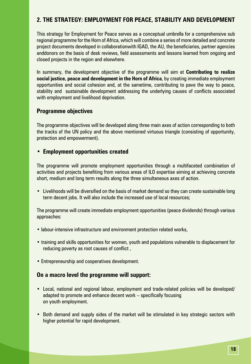## **2. THE STRATEGY: EMPLOYMENT FOR PEACE, STABILITY AND DEVELOPMENT**

This strategy for Employment for Peace serves as a conceptual umbrella for a comprehensive sub regional programme for the Horn of Africa, which will combine a series of more detailed and concrete project documents developed in collaborationwith IGAD, the AU, the beneficiaries, partner agencies anddonors on the basis of desk reviews, field assessments and lessons learned from ongoing and closed projects in the region and elsewhere.

In summary, the development objective of the programme will aim at **Contributing to realize social justice, peace and development in the Horn of Africa**, by creating immediate employment opportunities and social cohesion and, at the sametime, contributing to pave the way to peace, stability and sustainable development addressing the underlying causes of conflicts associated with employment and livelihood deprivation.

#### **Programme objectives**

The programme objectives will be developed along three main axes of action corresponding to both the tracks of the UN policy and the above mentioned virtuous triangle (consisting of opportunity, protection and empowerment).

#### **• Employment opportunities created**

The programme will promote employment opportunities through a multifaceted combination of activities and projects benefiting from various areas of ILO expertise aiming at achieving concrete short, medium and long term results along the three simultaneous axes of action.

• Livelihoods will be diversified on the basis of market demand so they can create sustainable long term decent jobs. It will also include the increased use of local resources;

The programme will create immediate employment opportunities (peace dividends) through various approaches:

- labour-intensive infrastructure and environment protection related works,
- training and skills opportunities for women, youth and populations vulnerable to displacement for reducing poverty as root causes of conflict ,
- Entrepreneurship and cooperatives development.

#### **On a macro level the programme will support:**

- Local, national and regional labour, employment and trade-related policies will be developed/ adapted to promote and enhance decent work – specifically focusing on youth employment.
- Both demand and supply sides of the market will be stimulated in key strategic sectors with higher potential for rapid development.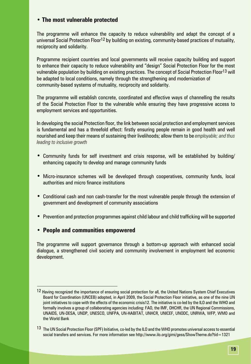#### **• The most vulnerable protected**

The programme will enhance the capacity to reduce vulnerability and adapt the concept of a universal Social Protection Floor<sup>12</sup> by building on existing, community-based practices of mutuality, reciprocity and solidarity.

Programme recipient countries and local governments will receive capacity building and support to enhance their capacity to reduce vulnerability and "design" Social Protection Floor for the most vulnerable population by building on existing practices. The concept of Social Protection Floor13 will be adapted to local conditions, namely through the strengthening and modernization of community-based systems of mutuality, reciprocity and solidarity.

The programme will establish concrete, coordinated and effective ways of channelling the results of the Social Protection Floor to the vulnerable while ensuring they have progressive access to employment services and opportunities.

In developing the social Protection floor, the link between social protection and employment services is fundamental and has a threefold effect: firstly ensuring people remain in good health and well nourished and keep their means of sustaining their livelihoods; allow them to be *employable; and thus leading to inclusive growth*

- **•**  Community funds for self investment and crisis response, will be established by building/ enhancing capacity to develop and manage community funds
- **•**  Micro-insurance schemes will be developed through cooperatives, community funds, local authorities and micro finance institutions
- **•**  Conditional cash and non cash-transfer for the most vulnerable people through the extension of government and development of community associations
- **•** Prevention and protection programmes against child labour and child trafficking will be supported

#### **• People and communities empowered**

The programme will support governance through a bottom-up approach with enhanced social dialogue, a strengthened civil society and community involvement in employment led economic development.

<sup>12</sup> Having recognized the importance of ensuring social protection for all, the United Nations System Chief Executives Board for Coordination (UNCEB) adopted, in April 2009, the Social Protection Floor initiative, as one of the nine UN joint initiatives to cope with the effects of the economic crisis12. The initiative is co-led by the ILO and the WHO and formally involves a group of collaborating agencies including: FAO, the IMF, OHCHR, the UN Regional Commissions, UNAIDS, UN-DESA, UNDP, UNESCO, UNFPA, UN-HABITAT, UNHCR, UNICEF, UNODC, UNRWA, WFP, WMO and the World Bank

<sup>&</sup>lt;sup>13</sup> The UN Social Protection Floor (SPF) Initiative, co-led by the ILO and the WHO promotes universal access to essential social transfers and services. For more information see http://www.ilo.org/gimi/gess/ShowTheme.do?tid=1321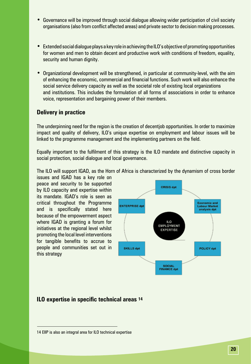- **•**  Governance will be improved through social dialogue allowing wider participation of civil society organisations (also from conflict affected areas) and private sector to decision making processes.
- **•**  Extended social dialogue plays a key role in achieving the ILO's objective of promoting opportunities for women and men to obtain decent and productive work with conditions of freedom, equality, security and human dignity.
- Organizational development will be strengthened, in particular at community-level, with the aim of enhancing the economic, commercial and financial functions. Such work will also enhance the social service delivery capacity as well as the societal role of existing local organizations and institutions. This includes the formulation of all forms of associations in order to enhance voice, representation and bargaining power of their members.

#### **Delivery in practice**

The underpinning need for the region is the creation of decentjob opportunities. In order to maximize impact and quality of delivery, ILO's unique expertise on employment and labour issues will be linked to the programme management and the implementing partners on the field.

Equally important to the fulfilment of this strategy is the ILO mandate and distinctive capacity in social protection, social dialogue and local governance.

The ILO will support IGAD, as the Horn of Africa is characterized by the dynamism of cross border

issues and IGAD has a key role on peace and security to be supported by ILO capacity and expertise within its mandate. IGAD's role is seen as critical throughout the Programme and is specifically stated here because of the empowerment aspect where IGAD is granting a forum for initiatives at the regional level whilst promoting the local level interventions for tangible benefits to accrue to people and communities set out in this strategy



#### **ILO expertise in specific technical areas 14**

<sup>14</sup> EIIP is also an integral area for ILO technical expertise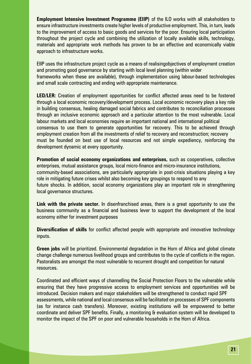**Employment Intensive Investment Programme (EIIP)** of the ILO works with all stakeholders to ensure infrastructure investments create higher levels of productive employment. This, in turn, leads to the improvement of access to basic goods and services for the poor. Ensuring local participation throughout the project cycle and combining the utilization of locally available skills, technology, materials and appropriate work methods has proven to be an effective and economically viable approach to infrastructure works.

EIIP uses the infrastructure project cycle as a means of realisingobjectives of employment creation and promoting good governance by starting with local level planning (within wider frameworks when these are available), through implementation using labour-based technologies and small scale contracting and ending with appropriate maintenance.

**LED/LER:** Creation of employment opportunities for conflict affected areas need to be fostered through a local economic recovery/development process. Local economic recovery plays a key role in building consensus, healing damaged social fabrics and contributes to reconciliation processes through an inclusive economic approach and a particular attention to the most vulnerable. Local labour markets and local economies require an important national and international political consensus to use them to generate opportunities for recovery. This to be achieved through employment creation from all the investments of relief to recovery and reconstruction; recovery must be founded on best use of local resources and not simple expediency, reinforcing the development dynamic at every opportunity.

**Promotion of social economy organizations and enterprises,** such as cooperatives, collective enterprises, mutual assistance groups, local micro-finance and micro-insurance institutions, community-based associations, are particularly appropriate in post-crisis situations playing a key role in mitigating future crises whilst also becoming key groupings to respond to any future shocks. In addition, social economy organizations play an important role in strengthening local governance structures.

**Link with the private sector.** In disenfranchised areas, there is a great opportunity to use the business community as a financial and business lever to support the development of the local economy either for investment purposes

**Diversification of skills** for conflict affected people with appropriate and innovative technology inputs.

**Green jobs** will be prioritized. Environmental degradation in the Horn of Africa and global climate change challenge numerous livelihood groups and contributes to the cycle of conflicts in the region. Pastoralists are amongst the most vulnerable to recurrent drought and competition for natural resources.

Coordinated and efficient ways of channelling the Social Protection Floors to the vulnerable while ensuring that they have progressive access to employment services and opportunities will be introduced. Decision makers and major stakeholders will be strengthened to conduct rapid SPF assessments, while national and local consensus will be facilitated on processes of SPF components (as for instance cash transfers). Moreover, existing institutions will be empowered to better coordinate and deliver SPF benefits. Finally, a monitoring & evaluation system will be developed to monitor the impact of the SPF on poor and vulnerable households in the Horn of Africa.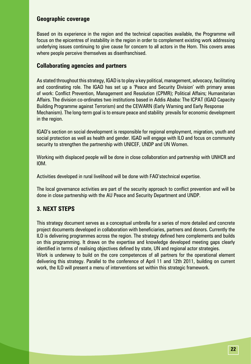#### **Geographic coverage**

Based on its experience in the region and the technical capacities available, the Programme will focus on the epicentres of instability in the region in order to complement existing work addressing underlying issues continuing to give cause for concern to all actors in the Horn. This covers areas where people perceive themselves as disenfranchised.

#### **Collaborating agencies and partners**

As stated throughout this strategy, IGAD is to play a key political, management, advocacy, facilitating and coordinating role. The IGAD has set up a 'Peace and Security Division' with primary areas of work: Conflict Prevention, Management and Resolution (CPMR); Political Affairs; Humanitarian Affairs. The division co-ordinates two institutions based in Addis Ababa: The ICPAT (IGAD Capacity Building Programme against Terrorism) and the CEWARN (Early Warning and Early Response Mechanism). The long-term goal is to ensure peace and stability prevails for economic development in the region.

IGAD's section on social development is responsible for regional employment, migration, youth and social protection as well as health and gender. IGAD will engage with ILO and focus on community security to strengthen the partnership with UNICEF, UNDP and UN Women.

Working with displaced people will be done in close collaboration and partnership with UNHCR and IOM.

Activities developed in rural livelihood will be done with FAO'stechnical expertise.

The local governance activities are part of the security approach to conflict prevention and will be done in close partnership with the AU Peace and Security Department and UNDP.

# **3. NEXT STEPS**

This strategy document serves as a conceptual umbrella for a series of more detailed and concrete project documents developed in collaboration with beneficiaries, partners and donors. Currently the ILO is delivering programmes across the region. The strategy defined here complements and builds on this programming. It draws on the expertise and knowledge developed meeting gaps clearly identified in terms of realising objectives defined by state, UN and regional actor strategies. Work is underway to build on the core competences of all partners for the operational element delivering this strategy. Parallel to the conference of April 11 and 12th 2011, building on current work, the ILO will present a menu of interventions set within this strategic framework.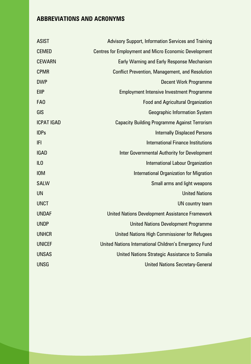# **ABBREVIATIONS AND ACRONYMS**

| <b>ASIST</b>      | <b>Advisory Support, Information Services and Training</b>   |
|-------------------|--------------------------------------------------------------|
| <b>CEMED</b>      | <b>Centres for Employment and Micro Economic Development</b> |
| <b>CEWARN</b>     | <b>Early Warning and Early Response Mechanism</b>            |
| <b>CPMR</b>       | <b>Conflict Prevention, Management, and Resolution</b>       |
| <b>DWP</b>        | <b>Decent Work Programme</b>                                 |
| <b>EIIP</b>       | <b>Employment Intensive Investment Programme</b>             |
| FA <sub>0</sub>   | <b>Food and Agricultural Organization</b>                    |
| GIS               | <b>Geographic Information System</b>                         |
| <b>ICPAT IGAD</b> | <b>Capacity Building Programme Against Terrorism</b>         |
| <b>IDPs</b>       | <b>Internally Displaced Persons</b>                          |
| IFI               | <b>International Finance Institutions</b>                    |
| <b>IGAD</b>       | Inter Governmental Authority for Development                 |
| IL <sub>0</sub>   | <b>International Labour Organization</b>                     |
| <b>IOM</b>        | <b>International Organization for Migration</b>              |
| <b>SALW</b>       | Small arms and light weapons                                 |
| <b>UN</b>         | <b>United Nations</b>                                        |
| <b>UNCT</b>       | UN country team                                              |
| <b>UNDAF</b>      | <b>United Nations Development Assistance Framework</b>       |
| <b>UNDP</b>       | <b>United Nations Development Programme</b>                  |
| <b>UNHCR</b>      | United Nations High Commissioner for Refugees                |
| <b>UNICEF</b>     | United Nations International Children's Emergency Fund       |
| <b>UNSAS</b>      | United Nations Strategic Assistance to Somalia               |
| <b>UNSG</b>       | <b>United Nations Secretary-General</b>                      |